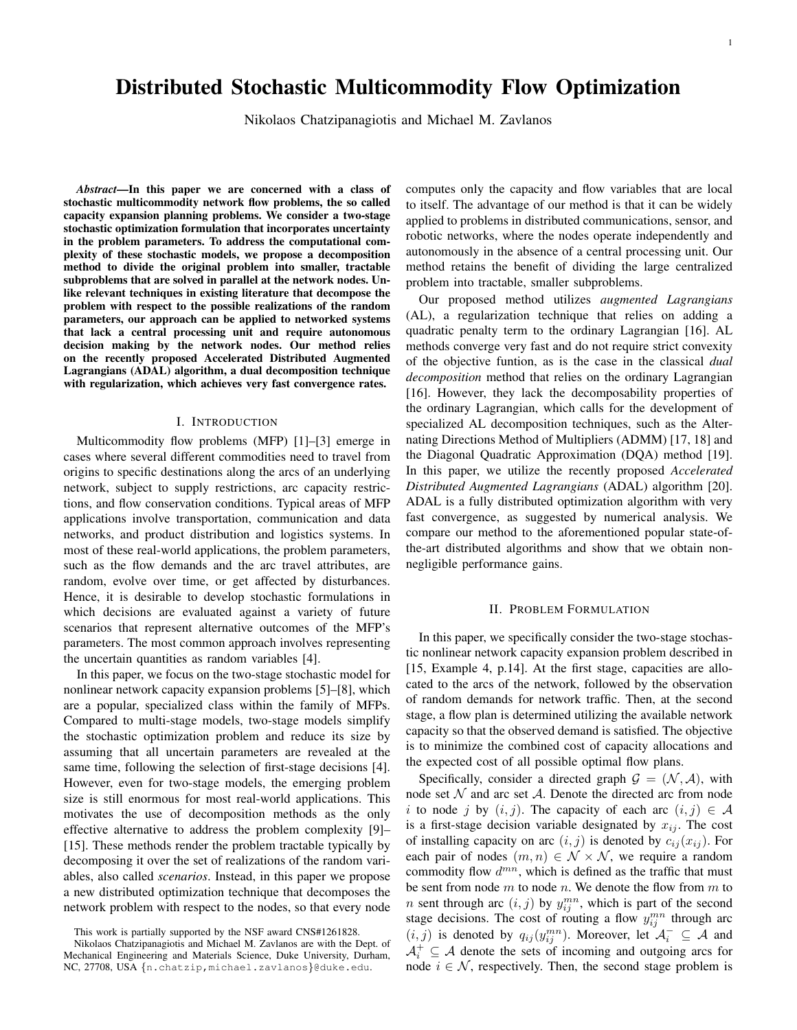# Distributed Stochastic Multicommodity Flow Optimization

Nikolaos Chatzipanagiotis and Michael M. Zavlanos

*Abstract*—In this paper we are concerned with a class of stochastic multicommodity network flow problems, the so called capacity expansion planning problems. We consider a two-stage stochastic optimization formulation that incorporates uncertainty in the problem parameters. To address the computational complexity of these stochastic models, we propose a decomposition method to divide the original problem into smaller, tractable subproblems that are solved in parallel at the network nodes. Unlike relevant techniques in existing literature that decompose the problem with respect to the possible realizations of the random parameters, our approach can be applied to networked systems that lack a central processing unit and require autonomous decision making by the network nodes. Our method relies on the recently proposed Accelerated Distributed Augmented Lagrangians (ADAL) algorithm, a dual decomposition technique with regularization, which achieves very fast convergence rates.

## I. INTRODUCTION

Multicommodity flow problems (MFP) [1]–[3] emerge in cases where several different commodities need to travel from origins to specific destinations along the arcs of an underlying network, subject to supply restrictions, arc capacity restrictions, and flow conservation conditions. Typical areas of MFP applications involve transportation, communication and data networks, and product distribution and logistics systems. In most of these real-world applications, the problem parameters, such as the flow demands and the arc travel attributes, are random, evolve over time, or get affected by disturbances. Hence, it is desirable to develop stochastic formulations in which decisions are evaluated against a variety of future scenarios that represent alternative outcomes of the MFP's parameters. The most common approach involves representing the uncertain quantities as random variables [4].

In this paper, we focus on the two-stage stochastic model for nonlinear network capacity expansion problems [5]–[8], which are a popular, specialized class within the family of MFPs. Compared to multi-stage models, two-stage models simplify the stochastic optimization problem and reduce its size by assuming that all uncertain parameters are revealed at the same time, following the selection of first-stage decisions [4]. However, even for two-stage models, the emerging problem size is still enormous for most real-world applications. This motivates the use of decomposition methods as the only effective alternative to address the problem complexity [9]– [15]. These methods render the problem tractable typically by decomposing it over the set of realizations of the random variables, also called *scenarios*. Instead, in this paper we propose a new distributed optimization technique that decomposes the network problem with respect to the nodes, so that every node computes only the capacity and flow variables that are local to itself. The advantage of our method is that it can be widely applied to problems in distributed communications, sensor, and robotic networks, where the nodes operate independently and autonomously in the absence of a central processing unit. Our method retains the benefit of dividing the large centralized problem into tractable, smaller subproblems.

Our proposed method utilizes *augmented Lagrangians* (AL), a regularization technique that relies on adding a quadratic penalty term to the ordinary Lagrangian [16]. AL methods converge very fast and do not require strict convexity of the objective funtion, as is the case in the classical *dual decomposition* method that relies on the ordinary Lagrangian [16]. However, they lack the decomposability properties of the ordinary Lagrangian, which calls for the development of specialized AL decomposition techniques, such as the Alternating Directions Method of Multipliers (ADMM) [17, 18] and the Diagonal Quadratic Approximation (DQA) method [19]. In this paper, we utilize the recently proposed *Accelerated Distributed Augmented Lagrangians* (ADAL) algorithm [20]. ADAL is a fully distributed optimization algorithm with very fast convergence, as suggested by numerical analysis. We compare our method to the aforementioned popular state-ofthe-art distributed algorithms and show that we obtain nonnegligible performance gains.

#### II. PROBLEM FORMULATION

In this paper, we specifically consider the two-stage stochastic nonlinear network capacity expansion problem described in [15, Example 4, p.14]. At the first stage, capacities are allocated to the arcs of the network, followed by the observation of random demands for network traffic. Then, at the second stage, a flow plan is determined utilizing the available network capacity so that the observed demand is satisfied. The objective is to minimize the combined cost of capacity allocations and the expected cost of all possible optimal flow plans.

Specifically, consider a directed graph  $\mathcal{G} = (\mathcal{N}, \mathcal{A})$ , with node set  $N$  and arc set  $A$ . Denote the directed arc from node i to node j by  $(i, j)$ . The capacity of each arc  $(i, j) \in A$ is a first-stage decision variable designated by  $x_{ij}$ . The cost of installing capacity on arc  $(i, j)$  is denoted by  $c_{ij}(x_{ij})$ . For each pair of nodes  $(m, n) \in \mathcal{N} \times \mathcal{N}$ , we require a random commodity flow  $d^{mn}$ , which is defined as the traffic that must be sent from node  $m$  to node  $n$ . We denote the flow from  $m$  to *n* sent through arc  $(i, j)$  by  $y_{ij}^{mn}$ , which is part of the second stage decisions. The cost of routing a flow  $y_{ij}^{mn}$  through arc  $(i, j)$  is denoted by  $q_{ij}(y_{ij}^{mn})$ . Moreover, let  $\mathcal{A}_{i}^{-} \subseteq \mathcal{A}$  and  $A_i^+ \subseteq A$  denote the sets of incoming and outgoing arcs for node  $i \in \mathcal{N}$ , respectively. Then, the second stage problem is

This work is partially supported by the NSF award CNS#1261828.

Nikolaos Chatzipanagiotis and Michael M. Zavlanos are with the Dept. of Mechanical Engineering and Materials Science, Duke University, Durham, NC, 27708, USA {n.chatzip,michael.zavlanos}@duke.edu.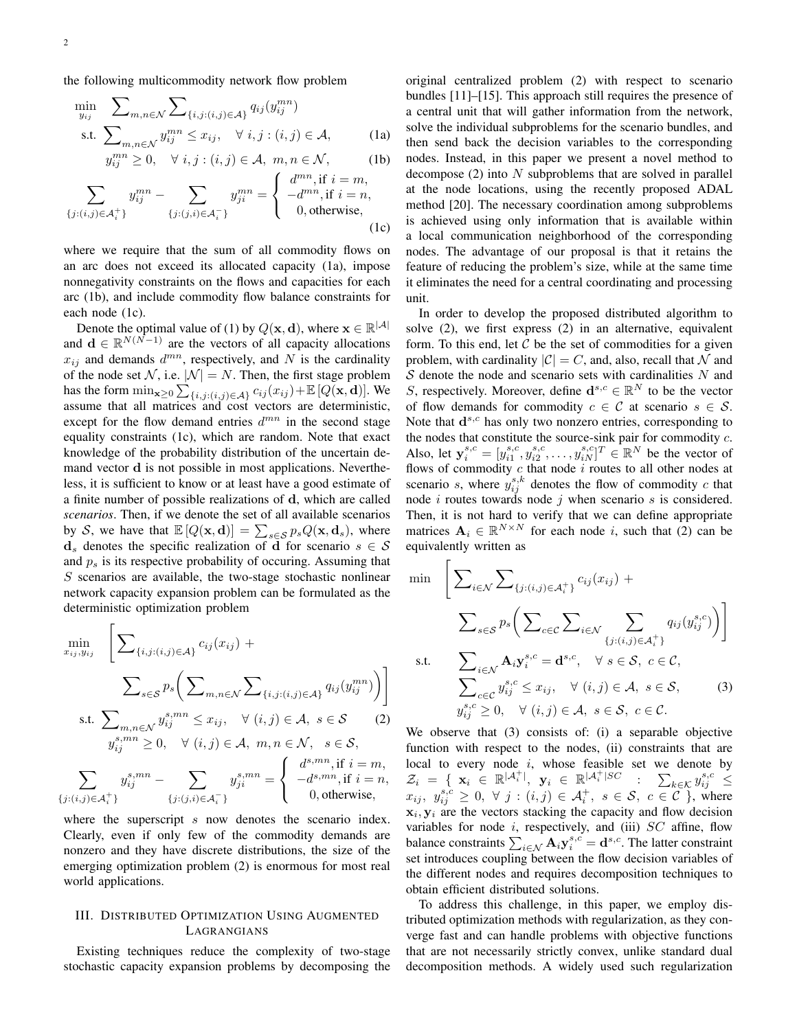the following multicommodity network flow problem

$$
\min_{y_{ij}} \sum_{m,n \in \mathcal{N}} \sum_{\{i,j:(i,j)\in \mathcal{A}\}} q_{ij}(y_{ij}^{mn})
$$
\n
$$
\text{s.t. } \sum_{m,n \in \mathcal{N}} y_{ij}^{mn} \le x_{ij}, \quad \forall \ i,j:(i,j) \in \mathcal{A}, \tag{1a}
$$

$$
y_{ij}^{mn} \ge 0, \quad \forall \ i, j : (i, j) \in \mathcal{A}, \ m, n \in \mathcal{N}, \tag{1b}
$$
\n
$$
\int d^{mn}, \text{if } i = m,
$$

$$
\sum_{\{j:(i,j)\in\mathcal{A}_i^+\}} y_{ij}^{mn} - \sum_{\{j:(j,i)\in\mathcal{A}_i^-\}} y_{ji}^{mn} = \begin{cases} -d^{mn}, \text{if } i=n, \\ 0, \text{otherwise}, \end{cases}
$$
 (1c)

where we require that the sum of all commodity flows on an arc does not exceed its allocated capacity (1a), impose nonnegativity constraints on the flows and capacities for each arc (1b), and include commodity flow balance constraints for each node (1c).

Denote the optimal value of (1) by  $Q(\mathbf{x}, \mathbf{d})$ , where  $\mathbf{x} \in \mathbb{R}^{|\mathcal{A}|}$ and  $\mathbf{d} \in \mathbb{R}^{N(N-1)}$  are the vectors of all capacity allocations  $x_{ij}$  and demands  $d^{mn}$ , respectively, and N is the cardinality of the node set N, i.e.  $|N| = N$ . Then, the first stage problem has the form  $\min_{\mathbf{x} \geq 0} \sum_{\{i,j : (i,j) \in \mathcal{A}\}} c_{ij}(x_{ij}) + \mathbb{E}\left[Q(\mathbf{x}, \mathbf{d})\right]$ . We assume that all matrices and cost vectors are deterministic, except for the flow demand entries  $d^{mn}$  in the second stage equality constraints (1c), which are random. Note that exact knowledge of the probability distribution of the uncertain demand vector d is not possible in most applications. Nevertheless, it is sufficient to know or at least have a good estimate of a finite number of possible realizations of d, which are called *scenarios*. Then, if we denote the set of all available scenarios by S, we have that  $\mathbb{E}[Q(\mathbf{x}, \mathbf{d})] = \sum_{s \in S} p_s Q(\mathbf{x}, \mathbf{d}_s)$ , where  $d_s$  denotes the specific realization of d for scenario  $s \in S$ and  $p<sub>s</sub>$  is its respective probability of occuring. Assuming that  $S$  scenarios are available, the two-stage stochastic nonlinear network capacity expansion problem can be formulated as the deterministic optimization problem

$$
\begin{aligned}\n\min_{x_{ij},y_{ij}} \quad & \bigg[\sum_{\{i,j:(i,j)\in\mathcal{A}\}}c_{ij}(x_{ij}) +\\
&\sum_{s\in\mathcal{S}}p_s\bigg(\sum_{m,n\in\mathcal{N}}\sum_{\{i,j:(i,j)\in\mathcal{A}\}}q_{ij}(y_{ij}^{mn})\bigg)\bigg]\\ \text{s.t.}\ \sum_{\substack{m,n\in\mathcal{N}}}\limits y_{ij}^{s,mn} &\leq x_{ij},\quad\forall\ (i,j)\in\mathcal{A},\ s\in\mathcal{S}\n\\
&y_{ij}^{s,mn} \geq 0, \quad\forall\ (i,j)\in\mathcal{A},\ m,n\in\mathcal{N},\ s\in\mathcal{S},\\
&\sum_{\{j:(i,j)\in\mathcal{A}_i^+\}}\limits y_{ij}^{s,mn} - \sum_{\{j:(j,i)\in\mathcal{A}_i^-\}}\limits y_{ji}^{s,mn} = \n\begin{cases}\nd^{s,mn}, \text{if } i=m, \\
-d^{s,mn}, \text{if } i=n, \\
0, \text{otherwise,} \n\end{cases}\n\end{aligned}
$$

where the superscript s now denotes the scenario index. Clearly, even if only few of the commodity demands are nonzero and they have discrete distributions, the size of the emerging optimization problem (2) is enormous for most real world applications.

# III. DISTRIBUTED OPTIMIZATION USING AUGMENTED LAGRANGIANS

Existing techniques reduce the complexity of two-stage stochastic capacity expansion problems by decomposing the

original centralized problem (2) with respect to scenario bundles [11]–[15]. This approach still requires the presence of a central unit that will gather information from the network, solve the individual subproblems for the scenario bundles, and then send back the decision variables to the corresponding nodes. Instead, in this paper we present a novel method to decompose  $(2)$  into N subproblems that are solved in parallel at the node locations, using the recently proposed ADAL method [20]. The necessary coordination among subproblems is achieved using only information that is available within a local communication neighborhood of the corresponding nodes. The advantage of our proposal is that it retains the feature of reducing the problem's size, while at the same time it eliminates the need for a central coordinating and processing unit.

In order to develop the proposed distributed algorithm to solve (2), we first express (2) in an alternative, equivalent form. To this end, let  $C$  be the set of commodities for a given problem, with cardinality  $|\mathcal{C}| = C$ , and, also, recall that N and  $S$  denote the node and scenario sets with cardinalities  $N$  and S, respectively. Moreover, define  $\mathbf{d}^{s,c} \in \mathbb{R}^N$  to be the vector of flow demands for commodity  $c \in \mathcal{C}$  at scenario  $s \in \mathcal{S}$ . Note that  $d^{s,c}$  has only two nonzero entries, corresponding to the nodes that constitute the source-sink pair for commodity  $c$ . Also, let  $y_i^{s,c} = [y_{i1}^{s,c}, y_{i2}^{s,c}, \dots, y_{iN}^{s,c}]^T \in \mathbb{R}^N$  be the vector of flows of commodity c that node i routes to all other nodes at scenario s, where  $y_{ij}^{s,k}$  denotes the flow of commodity c that node  $i$  routes towards node  $j$  when scenario  $s$  is considered. Then, it is not hard to verify that we can define appropriate matrices  $A_i \in \mathbb{R}^{N \times N}$  for each node i, such that (2) can be equivalently written as

$$
\min \left[ \sum_{i \in \mathcal{N}} \sum_{\{j : (i,j) \in \mathcal{A}_i^+\}} c_{ij}(x_{ij}) + \sum_{s \in \mathcal{S}} p_s \left( \sum_{c \in \mathcal{C}} \sum_{i \in \mathcal{N}} \sum_{\{j : (i,j) \in \mathcal{A}_i^+\}} q_{ij}(y_{ij}^{s,c}) \right) \right]
$$
\n
$$
\text{s.t.} \quad \sum_{i \in \mathcal{N}} \mathbf{A}_i \mathbf{y}_i^{s,c} = \mathbf{d}^{s,c}, \quad \forall s \in \mathcal{S}, \ c \in \mathcal{C},
$$
\n
$$
\sum_{\substack{c \in \mathcal{C} \\ y_{ij}^{s,c} \geq 0, \quad \forall (i,j) \in \mathcal{A}, \ s \in \mathcal{S}, \ c \in \mathcal{C}.}} (3)
$$

We observe that (3) consists of: (i) a separable objective function with respect to the nodes, (ii) constraints that are local to every node  $i$ , whose feasible set we denote by  $\mathcal{Z}_i \;=\; \{\;\; \mathbf{x}_i \;\in\; \mathbb{R}^{|\mathcal{A}^{+}_i|}, \;\; \mathbf{y}_i \;\in\; \mathbb{R}^{|\mathcal{A}^{+}_i|SC} \quad : \quad \sum_{k \in \mathcal{K}} y^{s,c}_{ij} \;\; \leq \;$  $x_{ij}, y_{ij}^{s,c} \geq 0, \forall j : (i,j) \in \mathcal{A}_i^+, s \in \mathcal{S}, c \in \mathcal{C}$ , where  $x_i, y_i$  are the vectors stacking the capacity and flow decision variables for node  $i$ , respectively, and (iii)  $SC$  affine, flow balance constraints  $\sum_{i \in \mathcal{N}} A_i y_i^{s,c} = d^{s,c}$ . The latter constraint set introduces coupling between the flow decision variables of the different nodes and requires decomposition techniques to obtain efficient distributed solutions.

To address this challenge, in this paper, we employ distributed optimization methods with regularization, as they converge fast and can handle problems with objective functions that are not necessarily strictly convex, unlike standard dual decomposition methods. A widely used such regularization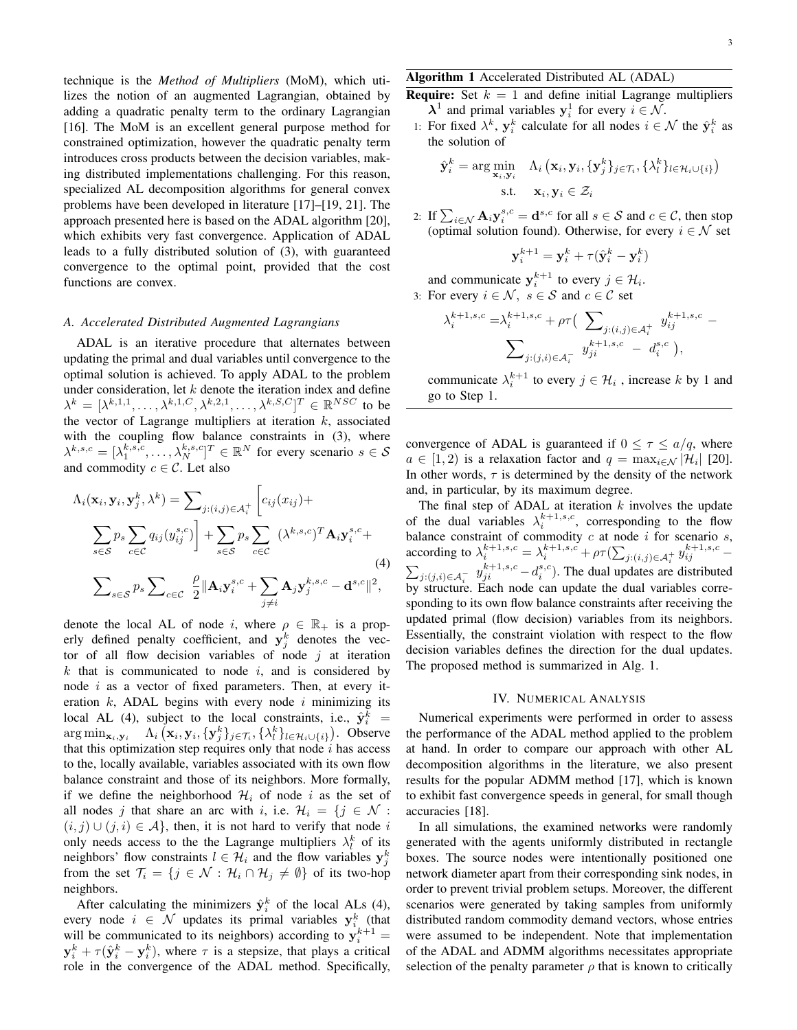technique is the *Method of Multipliers* (MoM), which utilizes the notion of an augmented Lagrangian, obtained by adding a quadratic penalty term to the ordinary Lagrangian [16]. The MoM is an excellent general purpose method for constrained optimization, however the quadratic penalty term introduces cross products between the decision variables, making distributed implementations challenging. For this reason, specialized AL decomposition algorithms for general convex problems have been developed in literature [17]–[19, 21]. The approach presented here is based on the ADAL algorithm [20], which exhibits very fast convergence. Application of ADAL leads to a fully distributed solution of (3), with guaranteed convergence to the optimal point, provided that the cost functions are convex.

## *A. Accelerated Distributed Augmented Lagrangians*

ADAL is an iterative procedure that alternates between updating the primal and dual variables until convergence to the optimal solution is achieved. To apply ADAL to the problem under consideration, let  $k$  denote the iteration index and define  $\lambda^k = [\lambda^{k,1,1}, \ldots, \lambda^{k,1,C}, \lambda^{k,2,1}, \ldots, \lambda^{k,S,C}]^T \in \mathbb{R}^{NSC}$  to be the vector of Lagrange multipliers at iteration  $k$ , associated with the coupling flow balance constraints in (3), where  $\lambda^{k,s,c} = [\lambda_1^{k,s,c}, \dots, \lambda_N^{k,s,c}]^T \in \mathbb{R}^N$  for every scenario  $s \in \mathcal{S}$ and commodity  $c \in \mathcal{C}$ . Let also

$$
\Lambda_i(\mathbf{x}_i, \mathbf{y}_i, \mathbf{y}_j^k, \lambda^k) = \sum_{j:(i,j)\in\mathcal{A}_i^+} \left[ c_{ij}(x_{ij}) + \sum_{s\in\mathcal{S}} p_s \sum_{c\in\mathcal{C}} q_{ij}(y_{ij}^{s,c}) \right] + \sum_{s\in\mathcal{S}} p_s \sum_{c\in\mathcal{C}} (\lambda^{k,s,c})^T \mathbf{A}_i \mathbf{y}_i^{s,c} +
$$
\n(4)\n
$$
\sum_{s\in\mathcal{S}} p_s \sum_{c\in\mathcal{C}} \frac{\rho}{2} \|\mathbf{A}_i \mathbf{y}_i^{s,c} + \sum_{i} \mathbf{A}_j \mathbf{y}_j^{k,s,c} - \mathbf{d}^{s,c} \|^2,
$$

 $j\neq i$ 

denote the local AL of node i, where  $\rho \in \mathbb{R}_+$  is a properly defined penalty coefficient, and  $y_j^k$  denotes the vector of all flow decision variables of node  $j$  at iteration  $k$  that is communicated to node  $i$ , and is considered by node  $i$  as a vector of fixed parameters. Then, at every iteration  $k$ , ADAL begins with every node  $i$  minimizing its local AL (4), subject to the local constraints, i.e.,  $\hat{\mathbf{y}}_i^k =$  $\argmin_{\mathbf{x}_i, \mathbf{y}_i} \quad \Lambda_i\left(\mathbf{x}_i, \mathbf{y}_i, \{\mathbf{y}_j^k\}_{j \in \mathcal{T}_i}, \{\lambda_l^k\}_{l \in \mathcal{H}_i \cup \{i\}}\right)$ . Observe that this optimization step requires only that node  $i$  has access to the, locally available, variables associated with its own flow balance constraint and those of its neighbors. More formally, if we define the neighborhood  $\mathcal{H}_i$  of node i as the set of all nodes j that share an arc with i, i.e.  $\mathcal{H}_i = \{j \in \mathcal{N} :$  $(i, j) \cup (j, i) \in \mathcal{A}$ , then, it is not hard to verify that node i only needs access to the the Lagrange multipliers  $\lambda_i^k$  of its neighbors' flow constraints  $l \in \mathcal{H}_i$  and the flow variables  $y_j^k$ from the set  $\mathcal{T}_i = \{j \in \mathcal{N} : \mathcal{H}_i \cap \mathcal{H}_j \neq \emptyset\}$  of its two-hop neighbors.

After calculating the minimizers  $\hat{\mathbf{y}}_i^k$  of the local ALs (4), every node  $i \in \mathcal{N}$  updates its primal variables  $y_i^k$  (that will be communicated to its neighbors) according to  $y_i^{k+1} =$  $y_i^k + \tau(\hat{y}_i^k - y_i^k)$ , where  $\tau$  is a stepsize, that plays a critical role in the convergence of the ADAL method. Specifically,

#### Algorithm 1 Accelerated Distributed AL (ADAL)

- **Require:** Set  $k = 1$  and define initial Lagrange multipliers  $\lambda^1$  and primal variables  $y_i^1$  for every  $i \in \mathcal{N}$ .
	- 1: For fixed  $\lambda^k$ ,  $\mathbf{y}_i^k$  calculate for all nodes  $i \in \mathcal{N}$  the  $\hat{\mathbf{y}}_i^k$  as the solution of

$$
\hat{\mathbf{y}}_i^k = \arg \min_{\mathbf{x}_i, \mathbf{y}_i} \quad \Lambda_i \left( \mathbf{x}_i, \mathbf{y}_i, \{ \mathbf{y}_j^k \}_{j \in \mathcal{T}_i}, \{ \lambda_l^k \}_{l \in \mathcal{H}_i \cup \{i\}} \right)
$$
\ns.t. 
$$
\mathbf{x}_i, \mathbf{y}_i \in \mathcal{Z}_i
$$

2: If  $\sum_{i \in \mathcal{N}} \mathbf{A}_i \mathbf{y}_i^{s,c} = \mathbf{d}^{s,c}$  for all  $s \in \mathcal{S}$  and  $c \in \mathcal{C}$ , then stop (optimal solution found). Otherwise, for every  $i \in \mathcal{N}$  set

$$
\mathbf{y}_i^{k+1} = \mathbf{y}_i^k + \tau(\hat{\mathbf{y}}_i^k - \mathbf{y}_i^k)
$$

and communicate  $y_i^{k+1}$  to every  $j \in \mathcal{H}_i$ . 3: For every  $i \in \mathcal{N}$ ,  $s \in \mathcal{S}$  and  $c \in \mathcal{C}$  set

$$
\lambda_i^{k+1,s,c} = \lambda_i^{k+1,s,c} + \rho \tau \big( \sum_{j:(i,j)\in \mathcal{A}_i^+} y_{ij}^{k+1,s,c} - \sum_{j:(j,i)\in \mathcal{A}_i^-} y_{ji}^{k+1,s,c} - d_i^{s,c} \big),
$$

communicate  $\lambda_i^{k+1}$  to every  $j \in \mathcal{H}_i$ , increase k by 1 and go to Step 1.

convergence of ADAL is guaranteed if  $0 \le \tau \le a/q$ , where  $a \in [1,2)$  is a relaxation factor and  $q = \max_{i \in \mathcal{N}} |\mathcal{H}_i|$  [20]. In other words,  $\tau$  is determined by the density of the network and, in particular, by its maximum degree.

The final step of ADAL at iteration  $k$  involves the update of the dual variables  $\lambda_i^{k+1,s,c}$ , corresponding to the flow balance constraint of commodity  $c$  at node  $i$  for scenario  $s$ , according to  $\lambda_i^{k+1,s,c} = \lambda_i^{k+1,s,c} + \rho \tau(\sum_{j:(i,j)\in\mathcal{A}_i^+} y_{ij}^{k+1,s,c} \sum_{j:(j,i)\in\mathcal{A}_i^-} y_{ji}^{k+1,s,c} - d_i^{s,c}$ ). The dual updates are distributed by structure. Each node can update the dual variables corresponding to its own flow balance constraints after receiving the updated primal (flow decision) variables from its neighbors. Essentially, the constraint violation with respect to the flow decision variables defines the direction for the dual updates. The proposed method is summarized in Alg. 1.

#### IV. NUMERICAL ANALYSIS

Numerical experiments were performed in order to assess the performance of the ADAL method applied to the problem at hand. In order to compare our approach with other AL decomposition algorithms in the literature, we also present results for the popular ADMM method [17], which is known to exhibit fast convergence speeds in general, for small though accuracies [18].

In all simulations, the examined networks were randomly generated with the agents uniformly distributed in rectangle boxes. The source nodes were intentionally positioned one network diameter apart from their corresponding sink nodes, in order to prevent trivial problem setups. Moreover, the different scenarios were generated by taking samples from uniformly distributed random commodity demand vectors, whose entries were assumed to be independent. Note that implementation of the ADAL and ADMM algorithms necessitates appropriate selection of the penalty parameter  $\rho$  that is known to critically